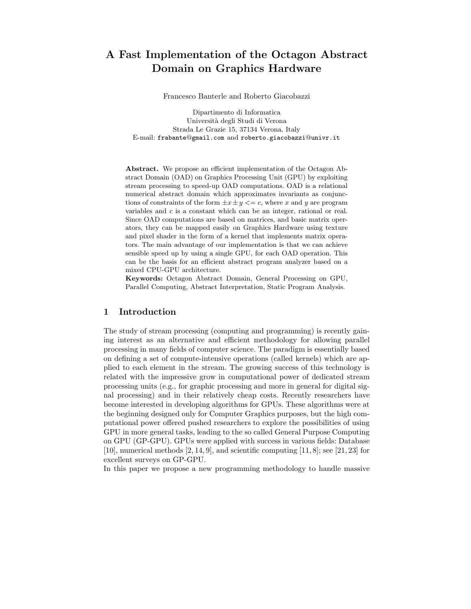# A Fast Implementation of the Octagon Abstract Domain on Graphics Hardware

Francesco Banterle and Roberto Giacobazzi

Dipartimento di Informatica Universit`a degli Studi di Verona Strada Le Grazie 15, 37134 Verona, Italy E-mail: frabante@gmail.com and roberto.giacobazzi@univr.it

Abstract. We propose an efficient implementation of the Octagon Abstract Domain (OAD) on Graphics Processing Unit (GPU) by exploiting stream processing to speed-up OAD computations. OAD is a relational numerical abstract domain which approximates invariants as conjunctions of constraints of the form  $\pm x \pm y \leq c$ , where x and y are program variables and c is a constant which can be an integer, rational or real. Since OAD computations are based on matrices, and basic matrix operators, they can be mapped easily on Graphics Hardware using texture and pixel shader in the form of a kernel that implements matrix operators. The main advantage of our implementation is that we can achieve sensible speed up by using a single GPU, for each OAD operation. This can be the basis for an efficient abstract program analyzer based on a mixed CPU-GPU architecture.

Keywords: Octagon Abstract Domain, General Processing on GPU, Parallel Computing, Abstract Interpretation, Static Program Analysis.

# 1 Introduction

The study of stream processing (computing and programming) is recently gaining interest as an alternative and efficient methodology for allowing parallel processing in many fields of computer science. The paradigm is essentially based on defining a set of compute-intensive operations (called kernels) which are applied to each element in the stream. The growing success of this technology is related with the impressive grow in computational power of dedicated stream processing units (e.g., for graphic processing and more in general for digital signal processing) and in their relatively cheap costs. Recently researchers have become interested in developing algorithms for GPUs. These algorithms were at the beginning designed only for Computer Graphics purposes, but the high computational power offered pushed researchers to explore the possibilities of using GPU in more general tasks, leading to the so called General Purpose Computing on GPU (GP-GPU). GPUs were applied with success in various fields: Database [10], numerical methods  $[2, 14, 9]$ , and scientific computing  $[11, 8]$ ; see [21, 23] for excellent surveys on GP-GPU.

In this paper we propose a new programming methodology to handle massive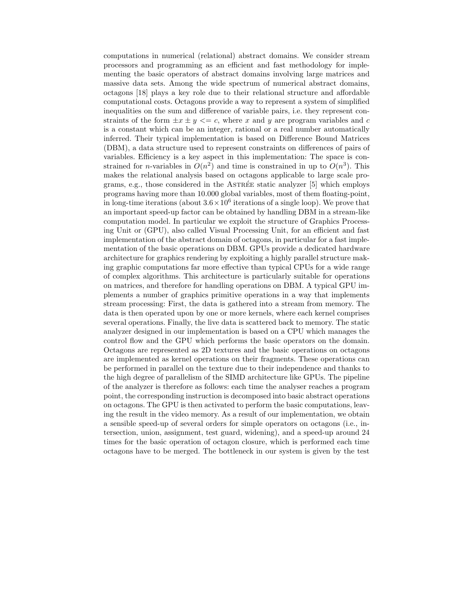computations in numerical (relational) abstract domains. We consider stream processors and programming as an efficient and fast methodology for implementing the basic operators of abstract domains involving large matrices and massive data sets. Among the wide spectrum of numerical abstract domains, octagons [18] plays a key role due to their relational structure and affordable computational costs. Octagons provide a way to represent a system of simplified inequalities on the sum and difference of variable pairs, i.e. they represent constraints of the form  $\pm x \pm y \leq c$ , where x and y are program variables and c is a constant which can be an integer, rational or a real number automatically inferred. Their typical implementation is based on Difference Bound Matrices (DBM), a data structure used to represent constraints on differences of pairs of variables. Efficiency is a key aspect in this implementation: The space is constrained for *n*-variables in  $O(n^2)$  and time is constrained in up to  $O(n^3)$ . This makes the relational analysis based on octagons applicable to large scale programs, e.g., those considered in the ASTRÉE static analyzer  $[5]$  which employs programs having more than 10.000 global variables, most of them floating-point, in long-time iterations (about  $3.6 \times 10^6$  iterations of a single loop). We prove that an important speed-up factor can be obtained by handling DBM in a stream-like computation model. In particular we exploit the structure of Graphics Processing Unit or (GPU), also called Visual Processing Unit, for an efficient and fast implementation of the abstract domain of octagons, in particular for a fast implementation of the basic operations on DBM. GPUs provide a dedicated hardware architecture for graphics rendering by exploiting a highly parallel structure making graphic computations far more effective than typical CPUs for a wide range of complex algorithms. This architecture is particularly suitable for operations on matrices, and therefore for handling operations on DBM. A typical GPU implements a number of graphics primitive operations in a way that implements stream processing: First, the data is gathered into a stream from memory. The data is then operated upon by one or more kernels, where each kernel comprises several operations. Finally, the live data is scattered back to memory. The static analyzer designed in our implementation is based on a CPU which manages the control flow and the GPU which performs the basic operators on the domain. Octagons are represented as 2D textures and the basic operations on octagons are implemented as kernel operations on their fragments. These operations can be performed in parallel on the texture due to their independence and thanks to the high degree of parallelism of the SIMD architecture like GPUs. The pipeline of the analyzer is therefore as follows: each time the analyser reaches a program point, the corresponding instruction is decomposed into basic abstract operations on octagons. The GPU is then activated to perform the basic computations, leaving the result in the video memory. As a result of our implementation, we obtain a sensible speed-up of several orders for simple operators on octagons (i.e., intersection, union, assignment, test guard, widening), and a speed-up around 24 times for the basic operation of octagon closure, which is performed each time octagons have to be merged. The bottleneck in our system is given by the test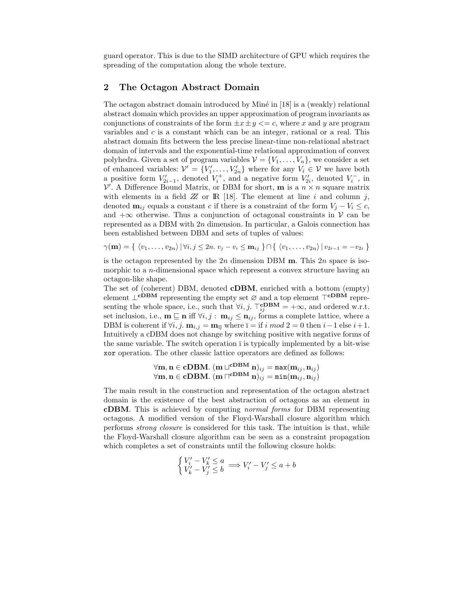guard operator. This is due to the SIMD architecture of GPU which requires the spreading of the computation along the whole texture.

# 2 The Octagon Abstract Domain

The octagon abstract domain introduced by Miné in  $[18]$  is a (weakly) relational abstract domain which provides an upper approximation of program invariants as conjunctions of constraints of the form  $\pm x \pm y \leq c$ , where x and y are program variables and  $c$  is a constant which can be an integer, rational or a real. This abstract domain fits between the less precise linear-time non-relational abstract domain of intervals and the exponential-time relational approximation of convex polyhedra. Given a set of program variables  $V = \{V_1, \ldots, V_n\}$ , we consider a set of enhanced variables:  $\mathcal{V}' = \{V'_1, \ldots, V'_{2n}\}\$  where for any  $V_i \in \mathcal{V}$  we have both a positive form  $V'_{2i-1}$ , denoted  $V_i^+$ , and a negative form  $V'_{2i}$ , denoted  $V_i^-$ , in  $V'$ . A Difference Bound Matrix, or DBM for short, **m** is a  $n \times n$  square matrix with elements in a field  $Z$  or  $\mathbb R$  [18]. The element at line i and column j, denoted  $\mathbf{m}_{ij}$  equals a constant c if there is a constraint of the form  $V_i - V_i \leq c$ , and  $+\infty$  otherwise. Thus a conjunction of octagonal constraints in V can be represented as a DBM with  $2n$  dimension. In particular, a Galois connection has been established between DBM and sets of tuples of values:

$$
\gamma(\mathbf{m}) = \{ (v_1, \ldots, v_{2n}) | \forall i, j \leq 2n, v_j - v_i \leq \mathbf{m}_{ij} \} \cap \{ (v_1, \ldots, v_{2n}) | v_{2i-1} = -v_{2i} \}
$$

is the octagon represented by the 2n dimension DBM  $m$ . This 2n space is isomorphic to a *n*-dimensional space which represent a convex structure having an octagon-like shape.

The set of (coherent) DBM, denoted cDBM, enriched with a bottom (empty) element  $\perp^{cDBM}$  representing the empty set  $\varnothing$  and a top element  $\top^{cDBM}$  representing the whole space, i.e., such that  $\forall i, j$ .  $\top_{ij}^{\text{cDBM}} = +\infty$ , and ordered w.r.t. set inclusion, i.e.,  $\mathbf{m} \sqsubseteq \mathbf{n}$  iff  $\forall i, j : \mathbf{m}_{ij} \leq \mathbf{n}_{ij}$ , forms a complete lattice, where a DBM is coherent if  $\forall i, j$ .  $\mathbf{m}_{i,j} = \mathbf{m}_{\overline{\mathbf{1}}}$  where  $\overline{\mathbf{1}} = \text{if } i \mod 2 = 0$  then  $i-1$  else  $i+1$ . Intuitively a cDBM does not change by switching positive with negative forms of the same variable. The switch operation  $\bar{I}$  is typically implemented by a bit-wise xor operation. The other classic lattice operators are defined as follows:

$$
\forall \mathbf{m}, \mathbf{n} \in \mathbf{cDBM}. (\mathbf{m} \sqcup^{\mathbf{cDBM}} \mathbf{n})_{ij} = \max(\mathbf{m}_{ij}, \mathbf{n}_{ij})
$$
  

$$
\forall \mathbf{m}, \mathbf{n} \in \mathbf{cDBM}. (\mathbf{m} \sqcap^{\mathbf{cDBM}} \mathbf{n})_{ij} = \min(\mathbf{m}_{ij}, \mathbf{n}_{ij})
$$

The main result in the construction and representation of the octagon abstract domain is the existence of the best abstraction of octagons as an element in cDBM. This is achieved by computing normal forms for DBM representing octagons. A modified version of the Floyd-Warshall closure algorithm which performs strong closure is considered for this task. The intuition is that, while the Floyd-Warshall closure algorithm can be seen as a constraint propagation which completes a set of constraints until the following closure holds:

$$
\left\{\begin{matrix} V_i' - V_k' \leq a \\ V_k' - V_j' \leq b \end{matrix}\right. \Longrightarrow V_i' - V_j' \leq a + b
$$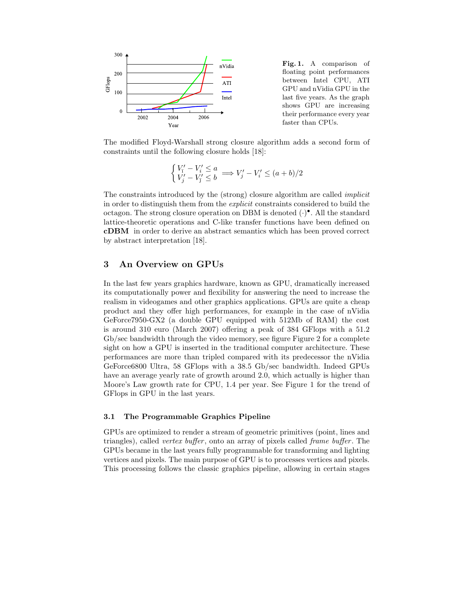

Fig. 1. A comparison of floating point performances between Intel CPU, ATI GPU and nVidia GPU in the last five years. As the graph shows GPU are increasing their performance every year faster than CPUs.

The modified Floyd-Warshall strong closure algorithm adds a second form of constraints until the following closure holds [18]:

$$
\left\{ \begin{matrix} V'_1' - V'_i \leq a \\ V'_j - V'_j \leq b \end{matrix} \right. \Longrightarrow V'_j - V'_i \leq (a+b)/2
$$

The constraints introduced by the (strong) closure algorithm are called implicit in order to distinguish them from the explicit constraints considered to build the octagon. The strong closure operation on DBM is denoted ( $\cdot$ )<sup>•</sup>. All the standard lattice-theoretic operations and C-like transfer functions have been defined on cDBM in order to derive an abstract semantics which has been proved correct by abstract interpretation [18].

# 3 An Overview on GPUs

In the last few years graphics hardware, known as GPU, dramatically increased its computationally power and flexibility for answering the need to increase the realism in videogames and other graphics applications. GPUs are quite a cheap product and they offer high performances, for example in the case of nVidia GeForce7950-GX2 (a double GPU equipped with 512Mb of RAM) the cost is around 310 euro (March 2007) offering a peak of 384 GFlops with a 51.2 Gb/sec bandwidth through the video memory, see figure Figure 2 for a complete sight on how a GPU is inserted in the traditional computer architecture. These performances are more than tripled compared with its predecessor the nVidia GeForce6800 Ultra, 58 GFlops with a 38.5 Gb/sec bandwidth. Indeed GPUs have an average yearly rate of growth around 2.0, which actually is higher than Moore's Law growth rate for CPU, 1.4 per year. See Figure 1 for the trend of GFlops in GPU in the last years.

### 3.1 The Programmable Graphics Pipeline

GPUs are optimized to render a stream of geometric primitives (point, lines and triangles), called vertex buffer, onto an array of pixels called frame buffer. The GPUs became in the last years fully programmable for transforming and lighting vertices and pixels. The main purpose of GPU is to processes vertices and pixels. This processing follows the classic graphics pipeline, allowing in certain stages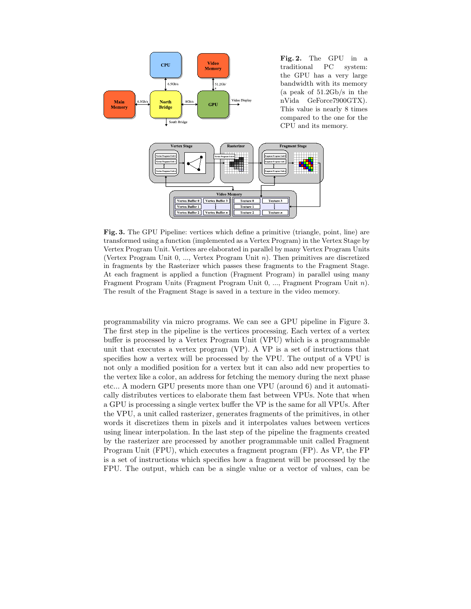

Fig. 3. The GPU Pipeline: vertices which define a primitive (triangle, point, line) are transformed using a function (implemented as a Vertex Program) in the Vertex Stage by Vertex Program Unit. Vertices are elaborated in parallel by many Vertex Program Units (Vertex Program Unit 0, ..., Vertex Program Unit n). Then primitives are discretized in fragments by the Rasterizer which passes these fragments to the Fragment Stage. At each fragment is applied a function (Fragment Program) in parallel using many Fragment Program Units (Fragment Program Unit 0, ..., Fragment Program Unit n). The result of the Fragment Stage is saved in a texture in the video memory.

programmability via micro programs. We can see a GPU pipeline in Figure 3. The first step in the pipeline is the vertices processing. Each vertex of a vertex buffer is processed by a Vertex Program Unit (VPU) which is a programmable unit that executes a vertex program (VP). A VP is a set of instructions that specifies how a vertex will be processed by the VPU. The output of a VPU is not only a modified position for a vertex but it can also add new properties to the vertex like a color, an address for fetching the memory during the next phase etc... A modern GPU presents more than one VPU (around 6) and it automatically distributes vertices to elaborate them fast between VPUs. Note that when a GPU is processing a single vertex buffer the VP is the same for all VPUs. After the VPU, a unit called rasterizer, generates fragments of the primitives, in other words it discretizes them in pixels and it interpolates values between vertices using linear interpolation. In the last step of the pipeline the fragments created by the rasterizer are processed by another programmable unit called Fragment Program Unit (FPU), which executes a fragment program (FP). As VP, the FP is a set of instructions which specifies how a fragment will be processed by the FPU. The output, which can be a single value or a vector of values, can be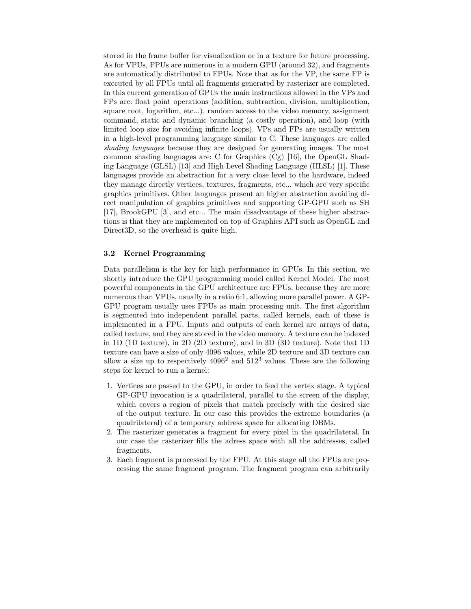stored in the frame buffer for visualization or in a texture for future processing. As for VPUs, FPUs are numerous in a modern GPU (around 32), and fragments are automatically distributed to FPUs. Note that as for the VP, the same FP is executed by all FPUs until all fragments generated by rasterizer are completed. In this current generation of GPUs the main instructions allowed in the VPs and FPs are: float point operations (addition, subtraction, division, multiplication, square root, logarithm, etc...), random access to the video memory, assignment command, static and dynamic branching (a costly operation), and loop (with limited loop size for avoiding infinite loops). VPs and FPs are usually written in a high-level programming language similar to C. These languages are called shading languages because they are designed for generating images. The most common shading languages are: C for Graphics (Cg) [16], the OpenGL Shading Language (GLSL) [13] and High Level Shading Language (HLSL) [1]. These languages provide an abstraction for a very close level to the hardware, indeed they manage directly vertices, textures, fragments, etc... which are very specific graphics primitives. Other languages present an higher abstraction avoiding direct manipulation of graphics primitives and supporting GP-GPU such as SH [17], BrookGPU [3], and etc... The main disadvantage of these higher abstractions is that they are implemented on top of Graphics API such as OpenGL and Direct3D, so the overhead is quite high.

### 3.2 Kernel Programming

Data parallelism is the key for high performance in GPUs. In this section, we shortly introduce the GPU programming model called Kernel Model. The most powerful components in the GPU architecture are FPUs, because they are more numerous than VPUs, usually in a ratio 6:1, allowing more parallel power. A GP-GPU program usually uses FPUs as main processing unit. The first algorithm is segmented into independent parallel parts, called kernels, each of these is implemented in a FPU. Inputs and outputs of each kernel are arrays of data, called texture, and they are stored in the video memory. A texture can be indexed in 1D (1D texture), in 2D (2D texture), and in 3D (3D texture). Note that 1D texture can have a size of only 4096 values, while 2D texture and 3D texture can allow a size up to respectively  $4096^2$  and  $512^3$  values. These are the following steps for kernel to run a kernel:

- 1. Vertices are passed to the GPU, in order to feed the vertex stage. A typical GP-GPU invocation is a quadrilateral, parallel to the screen of the display, which covers a region of pixels that match precisely with the desired size of the output texture. In our case this provides the extreme boundaries (a quadrilateral) of a temporary address space for allocating DBMs.
- 2. The rasterizer generates a fragment for every pixel in the quadrilateral. In our case the rasterizer fills the adress space with all the addresses, called fragments.
- 3. Each fragment is processed by the FPU. At this stage all the FPUs are processing the same fragment program. The fragment program can arbitrarily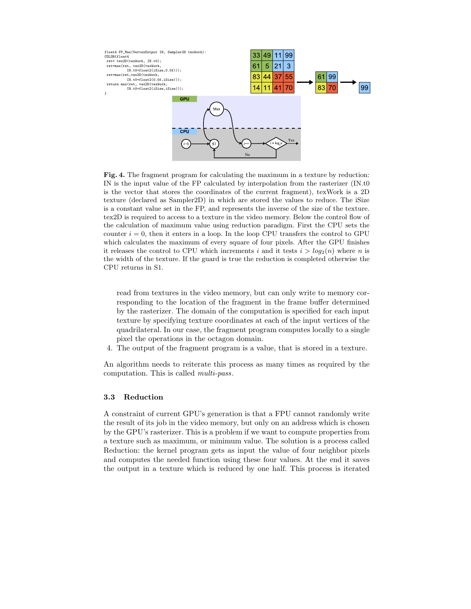

Fig. 4. The fragment program for calculating the maximum in a texture by reduction: IN is the input value of the FP calculated by interpolation from the rasterizer (IN.t0 is the vector that stores the coordinates of the current fragment), texWork is a 2D texture (declared as Sampler2D) in which are stored the values to reduce. The iSize is a constant value set in the FP, and represents the inverse of the size of the texture. tex2D is required to access to a texture in the video memory. Below the control flow of the calculation of maximum value using reduction paradigm. First the CPU sets the counter  $i = 0$ , then it enters in a loop. In the loop CPU transfers the control to GPU which calculates the maximum of every square of four pixels. After the GPU finishes it releases the control to CPU which increments i and it tests  $i > log_2(n)$  where n is the width of the texture. If the guard is true the reduction is completed otherwise the CPU returns in S1.

read from textures in the video memory, but can only write to memory corresponding to the location of the fragment in the frame buffer determined by the rasterizer. The domain of the computation is specified for each input texture by specifying texture coordinates at each of the input vertices of the quadrilateral. In our case, the fragment program computes locally to a single pixel the operations in the octagon domain.

4. The output of the fragment program is a value, that is stored in a texture.

An algorithm needs to reiterate this process as many times as required by the computation. This is called multi-pass.

#### 3.3 Reduction

A constraint of current GPU's generation is that a FPU cannot randomly write the result of its job in the video memory, but only on an address which is chosen by the GPU's rasterizer. This is a problem if we want to compute properties from a texture such as maximum, or minimum value. The solution is a process called Reduction: the kernel program gets as input the value of four neighbor pixels and computes the needed function using these four values. At the end it saves the output in a texture which is reduced by one half. This process is iterated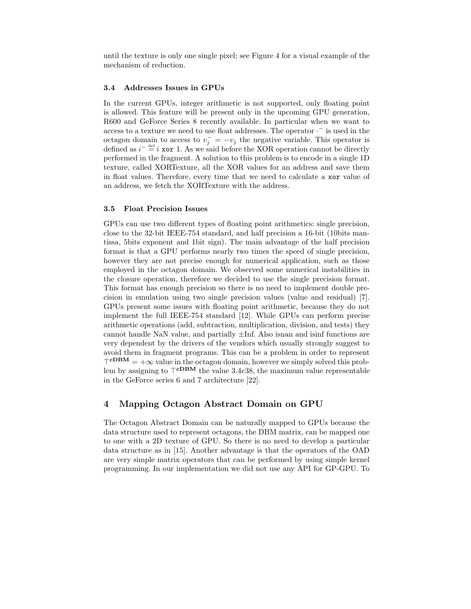until the texture is only one single pixel; see Figure 4 for a visual example of the mechanism of reduction.

### 3.4 Addresses Issues in GPUs

In the current GPUs, integer arithmetic is not supported, only floating point is allowed. This feature will be present only in the upcoming GPU generation, R600 and GeForce Series 8 recently available. In particular when we want to access to a texture we need to use float addresses. The operator  $\cdot^-$  is used in the octagon domain to access to  $v_j^- = -v_j$  the negative variable. This operator is defined as  $i^{-} \equiv i$  xor 1. As we said before the XOR operation cannot be directly performed in the fragment. A solution to this problem is to encode in a single 1D texture, called XORTexture, all the XOR values for an address and save them in float values. Therefore, every time that we need to calculate a xor value of an address, we fetch the XORTexture with the address.

### 3.5 Float Precision Issues

GPUs can use two different types of floating point arithmetics: single precision, close to the 32-bit IEEE-754 standard, and half precision a 16-bit (10bits mantissa, 5bits exponent and 1bit sign). The main advantage of the half precision format is that a GPU performs nearly two times the speed of single precision, however they are not precise enough for numerical application, such as those employed in the octagon domain. We observed some numerical instabilities in the closure operation, therefore we decided to use the single precision format. This format has enough precision so there is no need to implement double precision in emulation using two single precision values (value and residual) [7]. GPUs present some issues with floating point arithmetic, because they do not implement the full IEEE-754 standard [12]. While GPUs can perform precise arithmetic operations (add, subtraction, multiplication, division, and tests) they cannot handle NaN value, and partially  $\pm$ Inf. Also isnan and isinf functions are very dependent by the drivers of the vendors which usually strongly suggest to avoid them in fragment programs. This can be a problem in order to represent  $\mathcal{T}^{\text{cDBM}} = +\infty$  value in the octagon domain, however we simply solved this problem by assigning to  $\mathsf{T^{cDBM}}$  the value 3.4e38, the maximum value representable in the GeForce series 6 and 7 architecture [22].

# 4 Mapping Octagon Abstract Domain on GPU

The Octagon Abstract Domain can be naturally mapped to GPUs because the data structure used to represent octagons, the DBM matrix, can be mapped one to one with a 2D texture of GPU. So there is no need to develop a particular data structure as in [15]. Another advantage is that the operators of the OAD are very simple matrix operators that can be performed by using simple kernel programming. In our implementation we did not use any API for GP-GPU. To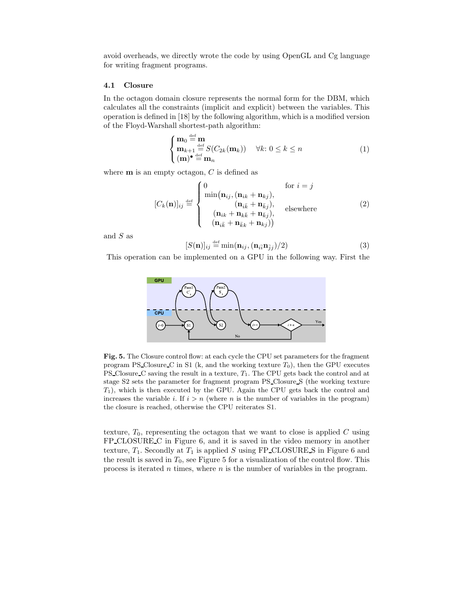avoid overheads, we directly wrote the code by using OpenGL and Cg language for writing fragment programs.

#### 4.1 Closure

In the octagon domain closure represents the normal form for the DBM, which calculates all the constraints (implicit and explicit) between the variables. This operation is defined in [18] by the following algorithm, which is a modified version of the Floyd-Warshall shortest-path algorithm:

$$
\begin{cases} \mathbf{m}_0 \stackrel{\text{def}}{=} \mathbf{m} \\ \mathbf{m}_{k+1} \stackrel{\text{def}}{=} S(C_{2k}(\mathbf{m}_k)) \quad \forall k: 0 \le k \le n \\ (\mathbf{m})^\bullet \stackrel{\text{def}}{=} \mathbf{m}_n \end{cases} \tag{1}
$$

where  **is an empty octagon,**  $C$  **is defined as** 

$$
[C_k(\mathbf{n})]_{ij} \stackrel{\text{def}}{=} \begin{cases} 0 & \text{for } i = j \\ \min(\mathbf{n}_{ij}, (\mathbf{n}_{ik} + \mathbf{n}_{kj}), \\ (\mathbf{n}_{i\bar{k}} + \mathbf{n}_{\bar{k}j}), \\ (\mathbf{n}_{ik} + \mathbf{n}_{k\bar{k}} + \mathbf{n}_{\bar{k}j}), \end{cases} \quad \text{elsewhere} \tag{2}
$$

and S as

$$
[S(\mathbf{n})]_{ij} \stackrel{\text{def}}{=} \min(\mathbf{n}_{ij}, (\mathbf{n}_{i\bar{i}} \mathbf{n}_{\bar{j}j})/2)
$$
(3)

This operation can be implemented on a GPU in the following way. First the



Fig. 5. The Closure control flow: at each cycle the CPU set parameters for the fragment program PS Closure C in S1 (k, and the working texture  $T_0$ ), then the GPU executes PS Closure C saving the result in a texture,  $T_1$ . The CPU gets back the control and at stage S2 sets the parameter for fragment program PS Closure S (the working texture  $T_1$ ), which is then executed by the GPU. Again the CPU gets back the control and increases the variable i. If  $i > n$  (where n is the number of variables in the program) the closure is reached, otherwise the CPU reiterates S1.

texture,  $T_0$ , representing the octagon that we want to close is applied C using FP CLOSURE C in Figure 6, and it is saved in the video memory in another texture,  $T_1$ . Secondly at  $T_1$  is applied S using FP CLOSURE S in Figure 6 and the result is saved in  $T_0$ , see Figure 5 for a visualization of the control flow. This process is iterated  $n$  times, where  $n$  is the number of variables in the program.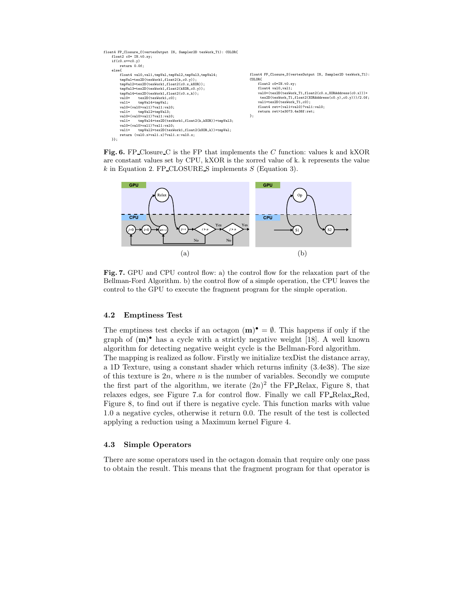

Fig. 6. FP Closure C is the FP that implements the C function: values k and kXOR are constant values set by CPU, kXOR is the xorred value of k. k represents the value  $k$  in Equation 2. FP\_CLOSURE S implements  $S$  (Equation 3).



Fig. 7. GPU and CPU control flow: a) the control flow for the relaxation part of the Bellman-Ford Algorithm. b) the control flow of a simple operation, the CPU leaves the control to the GPU to execute the fragment program for the simple operation.

### 4.2 Emptiness Test

The emptiness test checks if an octagon  $(m)^{\bullet} = \emptyset$ . This happens if only if the graph of (m) • has a cycle with a strictly negative weight [18]. A well known algorithm for detecting negative weight cycle is the Bellman-Ford algorithm. The mapping is realized as follow. Firstly we initialize texDist the distance array, a 1D Texture, using a constant shader which returns infinity (3.4e38). The size of this texture is  $2n$ , where n is the number of variables. Secondly we compute the first part of the algorithm, we iterate  $(2n)^2$  the FP Relax, Figure 8, that relaxes edges, see Figure 7.a for control flow. Finally we call FP Relax Red, Figure 8, to find out if there is negative cycle. This function marks with value 1.0 a negative cycles, otherwise it return 0.0. The result of the test is collected applying a reduction using a Maximum kernel Figure 4.

### 4.3 Simple Operators

There are some operators used in the octagon domain that require only one pass to obtain the result. This means that the fragment program for that operator is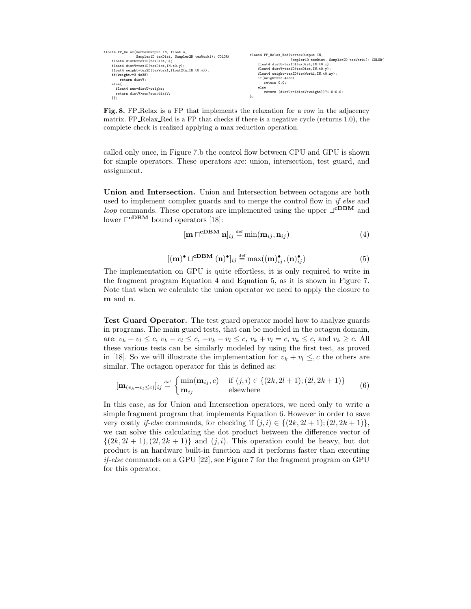```
float4 FP_Relax(vertexOutput IN, float u,
     Sampler1D texDist, Sampler2D texWork1): COLOR{
float4 distU=tex1D(texDist,u);
     float4 distV=tex1D(texDist,IN.t0.y);
     float4 weight=tex2D(texWork1,float2(u,IN.t0.y));
if(weight>=3.4e38)
          return distV;
     else{
       float4 sum=distU+weight;
        return distV>sum?sum:distV;
     }};
                                                                                              float4 FP_Relax_Red(vertexOutput IN,
                                                                                                    Sampler1D texDist, Sampler2D texWork1): COLOR{<br>float4 distU=tex1D(texDist,IN.t0.x);<br>float4 distV=tex1D(texDist,IN.t0.y);
                                                                                                    float4 weight=tex2D(texWork1,IN.t0.xy);
if(weight>=3.4e38)
                                                                                                      return 0.0;
                                                                                                   else.<br>else
                                                                                                      return (distU>=(distV+weight))?1.0:0.0;
                                                                                              };
```
Fig. 8. FP Relax is a FP that implements the relaxation for a row in the adjacency matrix. FP Relax Red is a FP that checks if there is a negative cycle (returns 1.0), the complete check is realized applying a max reduction operation.

called only once, in Figure 7.b the control flow between CPU and GPU is shown for simple operators. These operators are: union, intersection, test guard, and assignment.

Union and Intersection. Union and Intersection between octagons are both used to implement complex guards and to merge the control flow in *if else* and loop commands. These operators are implemented using the upper  $\Box$ <sup>CDBM</sup> and lower  $\sqcap^{\text{cDBM}}$  bound operators [18]:

$$
[\mathbf{m} \sqcap^{\mathbf{cDBM}} \mathbf{n}]_{ij} \stackrel{\text{def}}{=} \min(\mathbf{m}_{ij}, \mathbf{n}_{ij})
$$
(4)

$$
[(\mathbf{m})^{\bullet} \sqcup^{\mathbf{cDBM}} (\mathbf{n})^{\bullet}]_{ij} \stackrel{\text{def}}{=} \max((\mathbf{m})^{\bullet}_{ij}, (\mathbf{n})^{\bullet}_{ij})
$$
(5)

The implementation on GPU is quite effortless, it is only required to write in the fragment program Equation 4 and Equation 5, as it is shown in Figure 7. Note that when we calculate the union operator we need to apply the closure to m and n.

Test Guard Operator. The test guard operator model how to analyze guards in programs. The main guard tests, that can be modeled in the octagon domain, are:  $v_k + v_l \leq c$ ,  $v_k - v_l \leq c$ ,  $-v_k - v_l \leq c$ ,  $v_k + v_l = c$ ,  $v_k \leq c$ , and  $v_k \geq c$ . All these various tests can be similarly modeled by using the first test, as proved in [18]. So we will illustrate the implementation for  $v_k + v_l \leq c$  the others are similar. The octagon operator for this is defined as:

$$
[\mathbf{m}_{(v_k+v_l\leq c)}]_{ij} \stackrel{\text{def}}{=} \begin{cases} \min(\mathbf{m}_{ij}, c) & \text{if } (j, i) \in \{ (2k, 2l+1); (2l, 2k+1) \} \\ \mathbf{m}_{ij} & \text{elsewhere} \end{cases} \tag{6}
$$

In this case, as for Union and Intersection operators, we need only to write a simple fragment program that implements Equation 6. However in order to save very costly if-else commands, for checking if  $(j, i) \in \{(2k, 2l + 1); (2l, 2k + 1)\},\$ we can solve this calculating the dot product between the difference vector of  $\{(2k, 2l + 1), (2l, 2k + 1)\}\$ and  $(j, i)$ . This operation could be heavy, but dot product is an hardware built-in function and it performs faster than executing if-else commands on a GPU [22], see Figure 7 for the fragment program on GPU for this operator.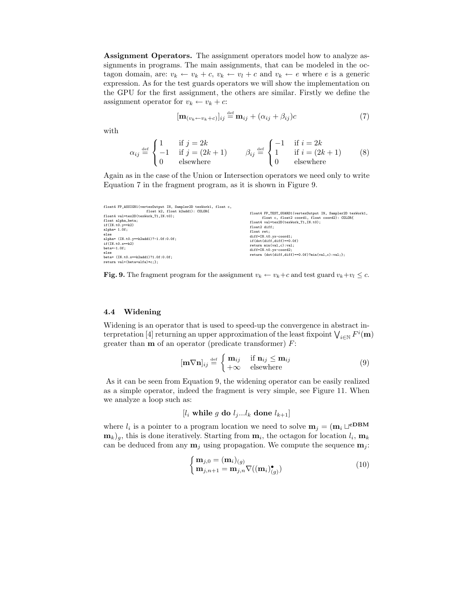Assignment Operators. The assignment operators model how to analyze assignments in programs. The main assignments, that can be modeled in the octagon domain, are:  $v_k \leftarrow v_k + c$ ,  $v_k \leftarrow v_l + c$  and  $v_k \leftarrow e$  where e is a generic expression. As for the test guards operators we will show the implementation on the GPU for the first assignment, the others are similar. Firstly we define the assignment operator for  $v_k \leftarrow v_k + c$ :

$$
[\mathbf{m}_{(v_k \leftarrow v_k + c)}]_{ij} \stackrel{\text{def}}{=} \mathbf{m}_{ij} + (\alpha_{ij} + \beta_{ij})c \tag{7}
$$

with

$$
\alpha_{ij} \stackrel{\text{def}}{=} \begin{cases} 1 & \text{if } j = 2k \\ -1 & \text{if } j = (2k+1) \\ 0 & \text{elsewhere} \end{cases} \qquad \beta_{ij} \stackrel{\text{def}}{=} \begin{cases} -1 & \text{if } i = 2k \\ 1 & \text{if } i = (2k+1) \\ 0 & \text{elsewhere} \end{cases} \qquad (8)
$$

Again as in the case of the Union or Intersection operators we need only to write Equation 7 in the fragment program, as it is shown in Figure 9.

```
float4 FP_ASSIGN1(vertexOutput IN, Sampler2D texWork1, float c,
                         float k2, float k2add1): COLOR{
float4 val=tex2D(texWork_T1,IN.t0);
float alpha,beta;
if(IN.t0.y==k2)
alpha= 1.0f;
else
alpha= (IN.t0.y==k2add1)?-1.0f:0.0f;
if(IN.t0.x==k2)
beta=-1.0f;
else
beta= (IN.t0.x==k2add1)?1.0f:0.0f;
return val+(beta+alfa)*c;};
                                                                                       float4 FP_TEST_GUARD1(vertexOutput IN, Sampler2D texWork1,
                                                                                              float c, float2 coord1, float coord2): COLOR{
                                                                                       float4 val=tex2D(texWork T1, IN.t0);
                                                                                        float2 diff;
float ret;
diff=IN.t0.yx-coord1;
                                                                                        if(dot(diff,diff)==0.0f)
return min(val,c):val;
                                                                                       diff=IN.t0.yx-coord2;
                                                                                       return (dot(diff,diff)==0.0f)?min(val,c):val;};
```
**Fig. 9.** The fragment program for the assignment  $v_k \leftarrow v_k+c$  and test guard  $v_k+v_l \leq c$ .

### 4.4 Widening

Widening is an operator that is used to speed-up the convergence in abstract interpretation [4] returning an upper approximation of the least fixpoint  $\bigvee_{i\in\mathbb{N}}F^i(\mathbf{m})$ greater than  **of an operator (predicate transformer)**  $F$ **:** 

$$
[\mathbf{m} \nabla \mathbf{n}]_{ij} \stackrel{\text{def}}{=} \begin{cases} \mathbf{m}_{ij} & \text{if } \mathbf{n}_{ij} \le \mathbf{m}_{ij} \\ +\infty & \text{elsewhere} \end{cases}
$$
(9)

As it can be seen from Equation 9, the widening operator can be easily realized as a simple operator, indeed the fragment is very simple, see Figure 11. When we analyze a loop such as:

$$
[l_i \text{ while } g \text{ do } l_j...l_k \text{ done } l_{k+1}]
$$

where  $l_i$  is a pointer to a program location we need to solve  $\mathbf{m}_j = (\mathbf{m}_i \sqcup^{\text{cDBM}})$  $(\mathbf{m}_k)_g$ , this is done iteratively. Starting from  $\mathbf{m}_i$ , the octagon for location  $l_i$ ,  $\mathbf{m}_k$ can be deduced from any  $\mathbf{m}_j$  using propagation. We compute the sequence  $\mathbf{m}_j$ :

$$
\begin{cases} \mathbf{m}_{j,0} = (\mathbf{m}_i)_{(g)} \\ \mathbf{m}_{j,n+1} = \mathbf{m}_{j,n} \nabla((\mathbf{m}_i)_{(g)}^{\bullet}) \end{cases}
$$
 (10)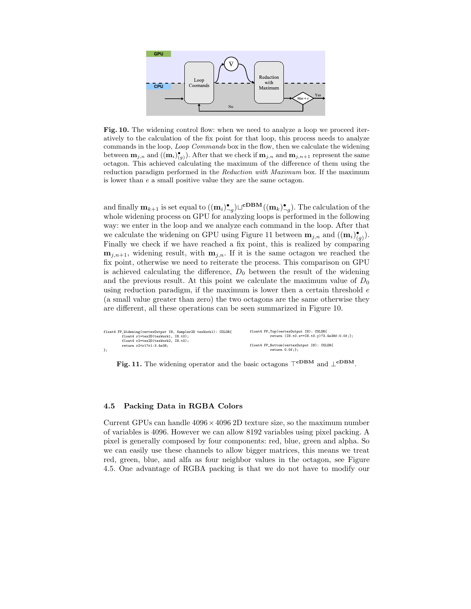

Fig. 10. The widening control flow: when we need to analyze a loop we proceed iteratively to the calculation of the fix point for that loop, this process needs to analyze commands in the loop, Loop Commands box in the flow, then we calculate the widening between  $\mathbf{m}_{j,n}$  and  $(\overrightarrow{(\mathbf{m}_i)}_{(g)}^{\bullet})$ . After that we check if  $\mathbf{m}_{j,n}$  and  $\mathbf{m}_{j,n+1}$  represent the same octagon. This achieved calculating the maximum of the difference of them using the reduction paradigm performed in the Reduction with Maximum box. If the maximum is lower than e a small positive value they are the same octagon.

and finally  $m_{k+1}$  is set equal to  $((m_i)_{-g}^{\bullet})\sqcup^{\text{cDBM}}((m_k)_{-g}^{\bullet})$ . The calculation of the whole widening process on GPU for analyzing loops is performed in the following way: we enter in the loop and we analyze each command in the loop. After that we calculate the widening on GPU using Figure 11 between  $\mathbf{m}_{j,n}$  and  $((\mathbf{m}_i)_{(g)}^{\bullet}).$ Finally we check if we have reached a fix point, this is realized by comparing  $\mathbf{m}_{j,n+1}$ , widening result, with  $\mathbf{m}_{j,n}$ . If it is the same octagon we reached the fix point, otherwise we need to reiterate the process. This comparison on GPU is achieved calculating the difference,  $D_0$  between the result of the widening and the previous result. At this point we calculate the maximum value of  $D_0$ using reduction paradigm, if the maximum is lower then a certain threshold  $e$ (a small value greater than zero) the two octagons are the same otherwise they are different, all these operations can be seen summarized in Figure 10.

| float4 FP_Widening(vertexOutput IN, Sampler2D texWork1): COLOR{<br>float4 r1=tex2D(texWork1, IN.t0);<br>float4 r2=tex2D(texWork2, IN.t0); | float4 FP_Top(vertexOutput IN): COLOR{<br>return (IN.t0.x == IN.t0.v)?3.4e38f:0.0f: }: |
|-------------------------------------------------------------------------------------------------------------------------------------------|----------------------------------------------------------------------------------------|
| return r2 <r1?r1:3.4e38:< td=""><td>float4 FP_Bottom(vertexOutput IN): COLOR{</td></r1?r1:3.4e38:<>                                       | float4 FP_Bottom(vertexOutput IN): COLOR{                                              |
| $\cdot$                                                                                                                                   | $return 0.0f:}.$                                                                       |

Fig. 11. The widening operator and the basic octagons  $\top^{\text{cDBM}}$  and  $\bot^{\text{cDBM}}$ .

### 4.5 Packing Data in RGBA Colors

Current GPUs can handle  $4096 \times 4096$  2D texture size, so the maximum number of variables is 4096. However we can allow 8192 variables using pixel packing. A pixel is generally composed by four components: red, blue, green and alpha. So we can easily use these channels to allow bigger matrices, this means we treat red, green, blue, and alfa as four neighbor values in the octagon, see Figure 4.5. One advantage of RGBA packing is that we do not have to modify our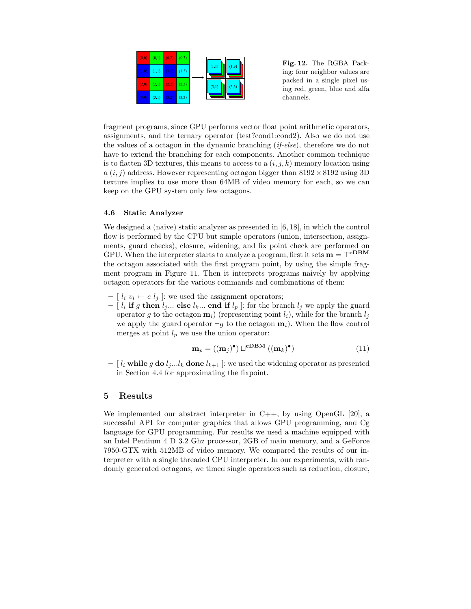

Fig. 12. The RGBA Packing: four neighbor values are packed in a single pixel using red, green, blue and alfa channels.

fragment programs, since GPU performs vector float point arithmetic operators, assignments, and the ternary operator (test?cond1:cond2). Also we do not use the values of a octagon in the dynamic branching (if-else), therefore we do not have to extend the branching for each components. Another common technique is to flatten 3D textures, this means to access to a  $(i, j, k)$  memory location using a  $(i, j)$  address. However representing octagon bigger than  $8192 \times 8192$  using 3D texture implies to use more than 64MB of video memory for each, so we can keep on the GPU system only few octagons.

# 4.6 Static Analyzer

We designed a (naive) static analyzer as presented in [6, 18], in which the control flow is performed by the CPU but simple operators (union, intersection, assignments, guard checks), closure, widening, and fix point check are performed on GPU. When the interpreter starts to analyze a program, first it sets  $\mathbf{m} = \top^{\text{cDBM}}$ the octagon associated with the first program point, by using the simple fragment program in Figure 11. Then it interprets programs naively by applying octagon operators for the various commands and combinations of them:

- $[i, v_i \leftarrow e l_j]$ : we used the assignment operators;
- $\left[ l_i \text{ if } g \text{ then } l_j \dots \text{ else } l_k \dots \text{ end if } l_p \right]$ : for the branch  $l_j$  we apply the guard operator g to the octagon  $\mathbf{m}_i$ ) (representing point  $l_i$ ), while for the branch  $l_i$ we apply the guard operator  $\neg g$  to the octagon  $m_i$ ). When the flow control merges at point  $l_p$  we use the union operator:

$$
\mathbf{m}_p = ((\mathbf{m}_j)^{\bullet}) \sqcup^{\mathbf{cDBM}} ((\mathbf{m}_k)^{\bullet})
$$
\n(11)

 $-$  [ $l_i$  while g do  $l_j...l_k$  done  $l_{k+1}$ ]: we used the widening operator as presented in Section 4.4 for approximating the fixpoint.

# 5 Results

We implemented our abstract interpreter in  $C_{++}$ , by using OpenGL [20], a successful API for computer graphics that allows GPU programming, and Cg language for GPU programming. For results we used a machine equipped with an Intel Pentium 4 D 3.2 Ghz processor, 2GB of main memory, and a GeForce 7950-GTX with 512MB of video memory. We compared the results of our interpreter with a single threaded CPU interpreter. In our experiments, with randomly generated octagons, we timed single operators such as reduction, closure,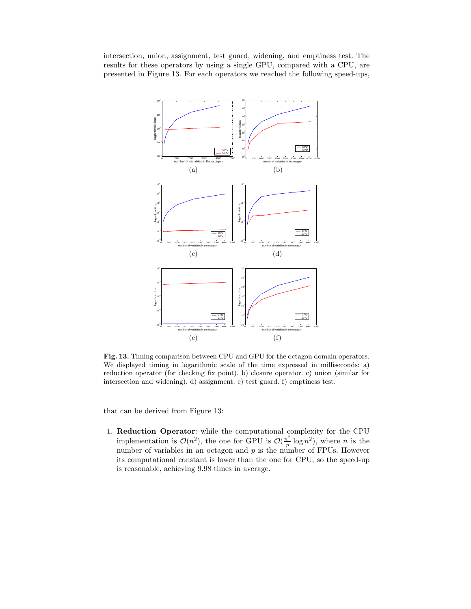intersection, union, assignment, test guard, widening, and emptiness test. The results for these operators by using a single GPU, compared with a CPU, are presented in Figure 13. For each operators we reached the following speed-ups,



Fig. 13. Timing comparison between CPU and GPU for the octagon domain operators. We displayed timing in logarithmic scale of the time expressed in milliseconds: a) reduction operator (for checking fix point). b) closure operator. c) union (similar for intersection and widening). d) assignment. e) test guard. f) emptiness test.

that can be derived from Figure 13:

1. Reduction Operator: while the computational complexity for the CPU implementation is  $\mathcal{O}(n^2)$ , the one for GPU is  $\mathcal{O}(\frac{n^2}{n})$  $\frac{n^2}{p} \log n^2$ , where *n* is the number of variables in an octagon and  $p$  is the number of FPUs. However its computational constant is lower than the one for CPU, so the speed-up is reasonable, achieving 9.98 times in average.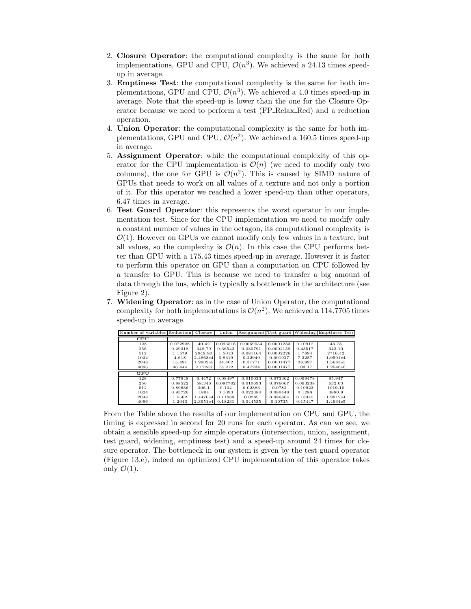- 2. Closure Operator: the computational complexity is the same for both implementations, GPU and CPU,  $\mathcal{O}(n^3)$ . We achieved a 24.13 times speedup in average.
- 3. Emptiness Test: the computational complexity is the same for both implementations, GPU and CPU,  $\mathcal{O}(n^3)$ . We achieved a 4.0 times speed-up in average. Note that the speed-up is lower than the one for the Closure Operator because we need to perform a test (FP Relax Red) and a reduction operation.
- 4. Union Operator: the computational complexity is the same for both implementations, GPU and CPU,  $\mathcal{O}(n^2)$ . We achieved a 160.5 times speed-up in average.
- 5. Assignment Operator: while the computational complexity of this operator for the CPU implementation is  $\mathcal{O}(n)$  (we need to modify only two columns), the one for GPU is  $\mathcal{O}(n^2)$ . This is caused by SIMD nature of GPUs that needs to work on all values of a texture and not only a portion of it. For this operator we reached a lower speed-up than other operators, 6.47 times in average.
- 6. Test Guard Operator: this represents the worst operator in our implementation test. Since for the CPU implementation we need to modify only a constant number of values in the octagon, its computational complexity is  $\mathcal{O}(1)$ . However on GPUs we cannot modify only few values in a texture, but all values, so the complexity is  $\mathcal{O}(n)$ . In this case the CPU performs better than GPU with a 175.43 times speed-up in average. However it is faster to perform this operator on GPU than a computation on CPU followed by a transfer to GPU. This is because we need to transfer a big amount of data through the bus, which is typically a bottleneck in the architecture (see Figure 2).
- 7. Widening Operator: as in the case of Union Operator, the computational complexity for both implementations is  $\mathcal{O}(n^2)$ . We achieved a 114.7705 times speed-up in average.

| Number of variables Reduction |          | Closure  | Union    |           |           |          | Assignment Test guard Widening Emptiness Test |
|-------------------------------|----------|----------|----------|-----------|-----------|----------|-----------------------------------------------|
| CPI                           |          |          |          |           |           |          |                                               |
| 128                           | 0.072928 | 40.42    | 0.095516 | 0.0069554 | 0.0001233 | 0.10912  | 43.73                                         |
| 256                           | 0.29318  | 348.79   | 0.36542  | 0.030791  | 0.0002158 | 0.43517  | 342.10                                        |
| 512                           | 1.1579   | 2949.90  | 1.5013   | 0.081164  | 0.0002226 | 1.7894   | 2716.42                                       |
| 1024                          | 4.618    | 2.4863e4 | 6.8319   | 0.22949   | 0.001927  | 7.3287   | 1.9501e4                                      |
| 2048                          | 15.491   | 1.9902e5 | 24.402   | 0.31771   | 0.0001477 | 28.997   | 1.5683e5                                      |
| 4096                          | 46.444   | 2.172e6  | 73.212   | 0.47234   | 0.0001477 | 103.17   | 1.2546e6                                      |
| GPU                           |          |          |          |           |           |          |                                               |
| 128                           | 0.77948  | 6.4472   | 0.08497  | 0.010033  | 0.073362  | 0.099478 | 95.947                                        |
| 256                           | 0.88522  | 58.346   | 0.097702 | 0.010693  | 0.076067  | 0.093238 | 632.03                                        |
| 512                           | 0.89636  | 206.1    | 0.104    | 0.02383   | 0.0782    | 0.10923  | 1019.10                                       |
| 1024                          | 0.93726  | 1804     | 0.1093   | 0.022384  | 0.080448  | 0.1288   | 4880.9                                        |
| 2048                          | 1.0562   | 1.4470e4 | 0.11889  | 0.0289    | 0.086864  | 0.13345  | 1.9912e4                                      |
| 4096                          | 1.2043   | 2.3951e4 | 0.18231  | 0.044535  | 0.10735   | 0.15447  | 1.4934e5                                      |

From the Table above the results of our implementation on CPU and GPU, the timing is expressed in second for 20 runs for each operator. As can we see, we obtain a sensible speed-up for simple operators (intersection, union, assignment, test guard, widening, emptiness test) and a speed-up around 24 times for closure operator. The bottleneck in our system is given by the test guard operator (Figure 13.e), indeed an optimized CPU implementation of this operator takes only  $\mathcal{O}(1)$ .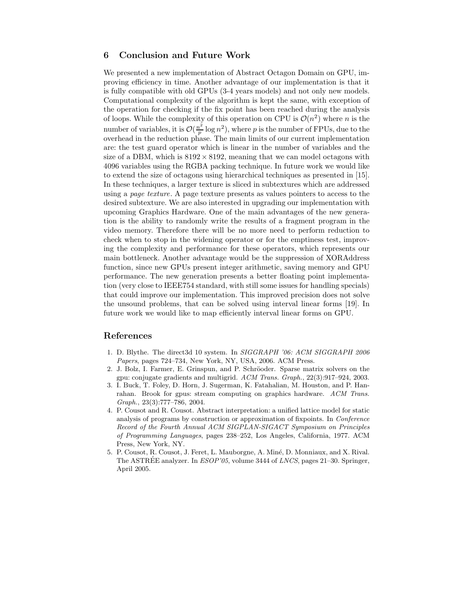# 6 Conclusion and Future Work

We presented a new implementation of Abstract Octagon Domain on GPU, improving efficiency in time. Another advantage of our implementation is that it is fully compatible with old GPUs (3-4 years models) and not only new models. Computational complexity of the algorithm is kept the same, with exception of the operation for checking if the fix point has been reached during the analysis of loops. While the complexity of this operation on CPU is  $\mathcal{O}(n^2)$  where n is the number of variables, it is  $\mathcal{O}(\frac{n^2}{n})$  $\frac{p^2}{p}$  log  $n^2$ ), where p is the number of FPUs, due to the overhead in the reduction phase. The main limits of our current implementation are: the test guard operator which is linear in the number of variables and the size of a DBM, which is  $8192 \times 8192$ , meaning that we can model octagons with 4096 variables using the RGBA packing technique. In future work we would like to extend the size of octagons using hierarchical techniques as presented in [15]. In these techniques, a larger texture is sliced in subtextures which are addressed using a page texture. A page texture presents as values pointers to access to the desired subtexture. We are also interested in upgrading our implementation with upcoming Graphics Hardware. One of the main advantages of the new generation is the ability to randomly write the results of a fragment program in the video memory. Therefore there will be no more need to perform reduction to check when to stop in the widening operator or for the emptiness test, improving the complexity and performance for these operators, which represents our main bottleneck. Another advantage would be the suppression of XORAddress function, since new GPUs present integer arithmetic, saving memory and GPU performance. The new generation presents a better floating point implementation (very close to IEEE754 standard, with still some issues for handling specials) that could improve our implementation. This improved precision does not solve the unsound problems, that can be solved using interval linear forms [19]. In future work we would like to map efficiently interval linear forms on GPU.

# References

- 1. D. Blythe. The direct3d 10 system. In SIGGRAPH '06: ACM SIGGRAPH 2006 Papers, pages 724–734, New York, NY, USA, 2006. ACM Press.
- 2. J. Bolz, I. Farmer, E. Grinspun, and P. Schröoder. Sparse matrix solvers on the gpu: conjugate gradients and multigrid. ACM Trans. Graph., 22(3):917–924, 2003.
- 3. I. Buck, T. Foley, D. Horn, J. Sugerman, K. Fatahalian, M. Houston, and P. Hanrahan. Brook for gpus: stream computing on graphics hardware. ACM Trans. Graph., 23(3):777–786, 2004.
- 4. P. Cousot and R. Cousot. Abstract interpretation: a unified lattice model for static analysis of programs by construction or approximation of fixpoints. In Conference Record of the Fourth Annual ACM SIGPLAN-SIGACT Symposium on Principles of Programming Languages, pages 238–252, Los Angeles, California, 1977. ACM Press, New York, NY.
- 5. P. Cousot, R. Cousot, J. Feret, L. Mauborgne, A. Miné, D. Monniaux, and X. Rival. The ASTREE analyzer. In  $ESOP'05$ , volume 3444 of LNCS, pages 21–30. Springer, April 2005.